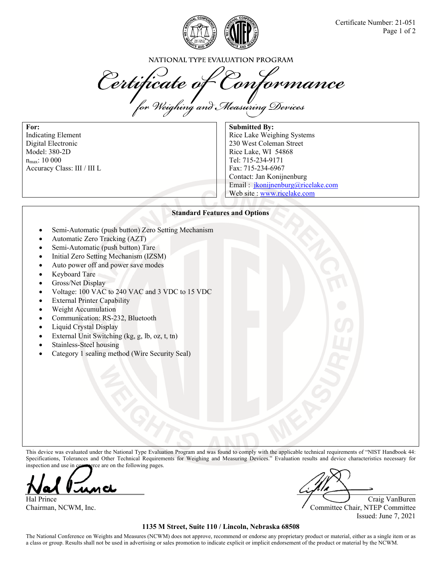

NATIONAL TYPE EVALUATION PROGRAM

Certificate of Conformance<br>for Weighing and Measuring Devices

**For:**  Indicating Element Digital Electronic Model: 380-2D  $n_{\rm max}$ : 10 000 Accuracy Class: III / III L

**Submitted By:**  Rice Lake Weighing Systems 230 West Coleman Street Rice Lake, WI 54868 Tel: 715-234-9171 Fax: 715-234-6967 Contact: Jan Konijnenburg Email : jkonijnenburg@ricelake.com Web site : www.ricelake.com

### **Standard Features and Options**

- Semi-Automatic (push button) Zero Setting Mechanism
- Automatic Zero Tracking (AZT)
- Semi-Automatic (push button) Tare
- Initial Zero Setting Mechanism (IZSM)
- Auto power off and power save modes
- Keyboard Tare
- Gross/Net Display
- Voltage: 100 VAC to 240 VAC and 3 VDC to 15 VDC
- External Printer Capability
- Weight Accumulation
- Communication: RS-232, Bluetooth
- Liquid Crystal Display
- External Unit Switching (kg, g, lb, oz, t, tn)
- Stainless-Steel housing
- Category 1 sealing method (Wire Security Seal)

This device was evaluated under the National Type Evaluation Program and was found to comply with the applicable technical requirements of "NIST Handbook 44: Specifications, Tolerances and Other Technical Requirements for Weighing and Measuring Devices." Evaluation results and device characteristics necessary for inspection and use in commerce are on the following pages.

m Ch

Hal Prince Craig VanBuren Number of Craig VanBuren Number of Craig VanBuren Number of Craig VanBuren Number of Craig VanBuren Number of Craig VanBuren Number of Craig VanBuren Number of Craig VanBuren Number of Craig VanBu

Chairman, NCWM, Inc. Committee Chair, NTEP Committee Issued: June 7, 2021

### **1135 M Street, Suite 110 / Lincoln, Nebraska 68508**

The National Conference on Weights and Measures (NCWM) does not approve, recommend or endorse any proprietary product or material, either as a single item or as a class or group. Results shall not be used in advertising or sales promotion to indicate explicit or implicit endorsement of the product or material by the NCWM.